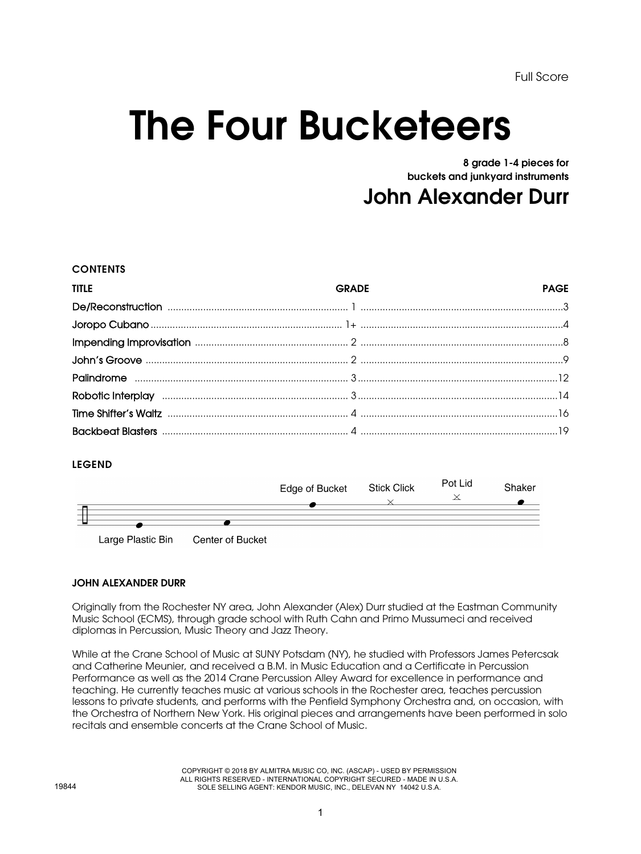Full Score

## The Four Bucketeers

8 grade 1-4 pieces for buckets and junkyard instruments

John Alexander Durr

## **CONTENTS**

| <b>TITLE</b> | <b>GRADE</b> | <b>PAGE</b> |
|--------------|--------------|-------------|
|              |              |             |
|              |              |             |
|              |              |             |
|              |              |             |
|              |              |             |
|              |              |             |
|              |              |             |
|              |              |             |

## LEGEND



## JOHN ALEXANDER DURR

Originally from the Rochester NY area, John Alexander (Alex) Durr studied at the Eastman Community Music School (ECMS), through grade school with Ruth Cahn and Primo Mussumeci and received diplomas in Percussion, Music Theory and Jazz Theory.

While at the Crane School of Music at SUNY Potsdam (NY), he studied with Professors James Petercsak and Catherine Meunier, and received a B.M. in Music Education and a Certificate in Percussion Performance as well as the 2014 Crane Percussion Alley Award for excellence in performance and teaching. He currently teaches music at various schools in the Rochester area, teaches percussion lessons to private students, and performs with the Penfield Symphony Orchestra and, on occasion, with the Orchestra of Northern New York. His original pieces and arrangements have been performed in solo recitals and ensemble concerts at the Crane School of Music.

> COPYRIGHT © 2018 BY ALMITRA MUSIC CO, INC. (ASCAP) - USED BY PERMISSION ALL RIGHTS RESERVED - INTERNATIONAL COPYRIGHT SECURED - MADE IN U.S.A. SOLE SELLING AGENT: KENDOR MUSIC, INC., DELEVAN NY 14042 U.S.A.